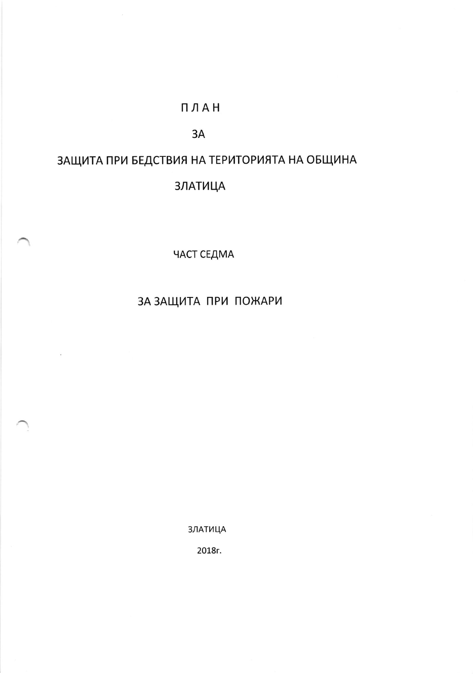#### ПЛАН

#### 3A

# ЗАЩИТА ПРИ БЕДСТВИЯ НА ТЕРИТОРИЯТА НА ОБЩИНА

### **ЗЛАТИЦА**

ЧАСТ СЕДМА

## ЗА ЗАЩИТА ПРИ ПОЖАРИ

**ЗЛАТИЦА** 

2018г.